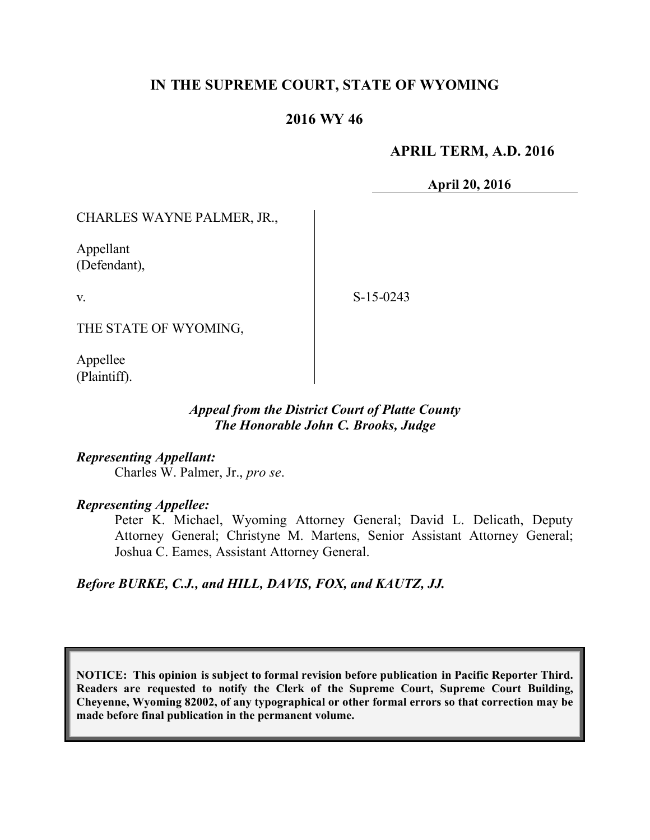# **IN THE SUPREME COURT, STATE OF WYOMING**

### **2016 WY 46**

### **APRIL TERM, A.D. 2016**

**April 20, 2016**

CHARLES WAYNE PALMER, JR.,

Appellant (Defendant),

v.

S-15-0243

THE STATE OF WYOMING,

Appellee (Plaintiff).

#### *Appeal from the District Court of Platte County The Honorable John C. Brooks, Judge*

*Representing Appellant:* Charles W. Palmer, Jr., *pro se*.

*Representing Appellee:*

Peter K. Michael, Wyoming Attorney General; David L. Delicath, Deputy Attorney General; Christyne M. Martens, Senior Assistant Attorney General; Joshua C. Eames, Assistant Attorney General.

*Before BURKE, C.J., and HILL, DAVIS, FOX, and KAUTZ, JJ.*

**NOTICE: This opinion is subject to formal revision before publication in Pacific Reporter Third. Readers are requested to notify the Clerk of the Supreme Court, Supreme Court Building, Cheyenne, Wyoming 82002, of any typographical or other formal errors so that correction may be made before final publication in the permanent volume.**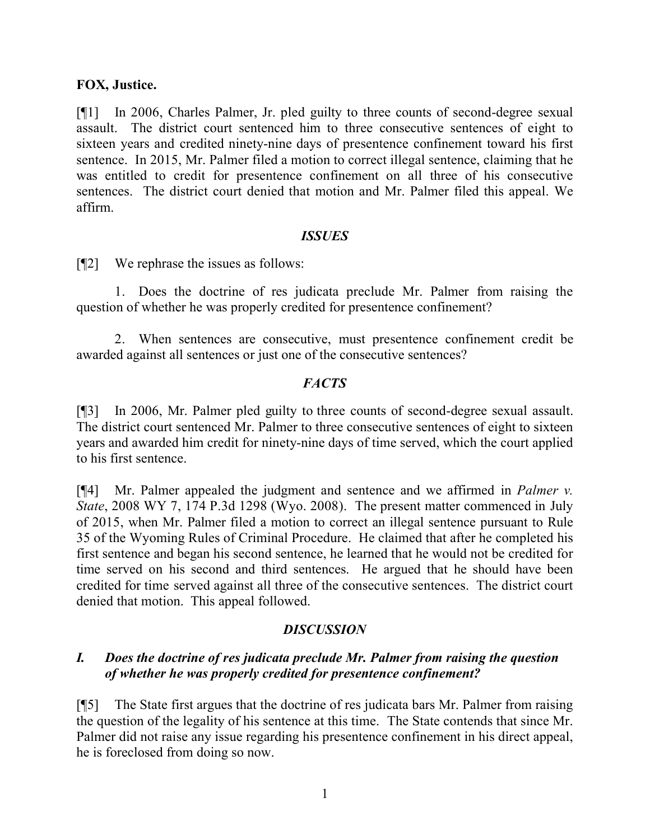### **FOX, Justice.**

[¶1] In 2006, Charles Palmer, Jr. pled guilty to three counts of second-degree sexual assault. The district court sentenced him to three consecutive sentences of eight to sixteen years and credited ninety-nine days of presentence confinement toward his first sentence. In 2015, Mr. Palmer filed a motion to correct illegal sentence, claiming that he was entitled to credit for presentence confinement on all three of his consecutive sentences. The district court denied that motion and Mr. Palmer filed this appeal. We affirm.

#### *ISSUES*

[¶2] We rephrase the issues as follows:

1. Does the doctrine of res judicata preclude Mr. Palmer from raising the question of whether he was properly credited for presentence confinement?

2. When sentences are consecutive, must presentence confinement credit be awarded against all sentences or just one of the consecutive sentences?

# *FACTS*

[¶3] In 2006, Mr. Palmer pled guilty to three counts of second-degree sexual assault. The district court sentenced Mr. Palmer to three consecutive sentences of eight to sixteen years and awarded him credit for ninety-nine days of time served, which the court applied to his first sentence.

[¶4] Mr. Palmer appealed the judgment and sentence and we affirmed in *Palmer v. State*, 2008 WY 7, 174 P.3d 1298 (Wyo. 2008). The present matter commenced in July of 2015, when Mr. Palmer filed a motion to correct an illegal sentence pursuant to Rule 35 of the Wyoming Rules of Criminal Procedure. He claimed that after he completed his first sentence and began his second sentence, he learned that he would not be credited for time served on his second and third sentences. He argued that he should have been credited for time served against all three of the consecutive sentences. The district court denied that motion. This appeal followed.

# *DISCUSSION*

# *I. Does the doctrine of res judicata preclude Mr. Palmer from raising the question of whether he was properly credited for presentence confinement?*

[¶5] The State first argues that the doctrine of res judicata bars Mr. Palmer from raising the question of the legality of his sentence at this time. The State contends that since Mr. Palmer did not raise any issue regarding his presentence confinement in his direct appeal, he is foreclosed from doing so now.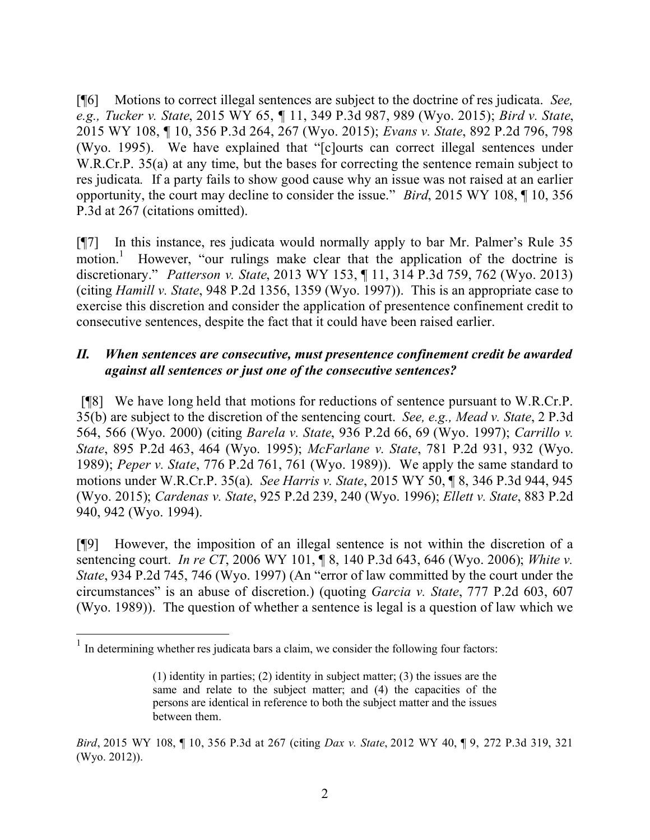[¶6] Motions to correct illegal sentences are subject to the doctrine of res judicata. *See, e.g., Tucker v. State*, 2015 WY 65, ¶ 11, 349 P.3d 987, 989 (Wyo. 2015); *Bird v. State*, 2015 WY 108, ¶ 10, 356 P.3d 264, 267 (Wyo. 2015); *Evans v. State*, 892 P.2d 796, 798 (Wyo. 1995). We have explained that "[c]ourts can correct illegal sentences under W.R.Cr.P. 35(a) at any time, but the bases for correcting the sentence remain subject to res judicata*.* If a party fails to show good cause why an issue was not raised at an earlier opportunity, the court may decline to consider the issue." *Bird*, 2015 WY 108, ¶ 10, 356 P.3d at 267 (citations omitted).

[¶7] In this instance, res judicata would normally apply to bar Mr. Palmer's Rule 35 motion.<sup>1</sup> However, "our rulings make clear that the application of the doctrine is discretionary." *Patterson v. State*, 2013 WY 153, ¶ 11, 314 P.3d 759, 762 (Wyo. 2013) (citing *Hamill v. State*, 948 P.2d 1356, 1359 (Wyo. 1997)). This is an appropriate case to exercise this discretion and consider the application of presentence confinement credit to consecutive sentences, despite the fact that it could have been raised earlier.

# *II. When sentences are consecutive, must presentence confinement credit be awarded against all sentences or just one of the consecutive sentences?*

[¶8] We have long held that motions for reductions of sentence pursuant to W.R.Cr.P. 35(b) are subject to the discretion of the sentencing court. *See, e.g., Mead v. State*, 2 P.3d 564, 566 (Wyo. 2000) (citing *Barela v. State*, 936 P.2d 66, 69 (Wyo. 1997); *Carrillo v. State*, 895 P.2d 463, 464 (Wyo. 1995); *McFarlane v. State*, 781 P.2d 931, 932 (Wyo. 1989); *Peper v. State*, 776 P.2d 761, 761 (Wyo. 1989)). We apply the same standard to motions under W.R.Cr.P. 35(a). *See Harris v. State*, 2015 WY 50, ¶ 8, 346 P.3d 944, 945 (Wyo. 2015); *Cardenas v. State*, 925 P.2d 239, 240 (Wyo. 1996); *Ellett v. State*, 883 P.2d 940, 942 (Wyo. 1994).

[¶9] However, the imposition of an illegal sentence is not within the discretion of a sentencing court. *In re CT*, 2006 WY 101, ¶ 8, 140 P.3d 643, 646 (Wyo. 2006); *White v. State*, 934 P.2d 745, 746 (Wyo. 1997) (An "error of law committed by the court under the circumstances" is an abuse of discretion.) (quoting *Garcia v. State*, 777 P.2d 603, 607 (Wyo. 1989)). The question of whether a sentence is legal is a question of law which we

 $<sup>1</sup>$  In determining whether res judicata bars a claim, we consider the following four factors:</sup>

<sup>(1)</sup> identity in parties; (2) identity in subject matter; (3) the issues are the same and relate to the subject matter; and (4) the capacities of the persons are identical in reference to both the subject matter and the issues between them.

*Bird*, 2015 WY 108, ¶ 10, 356 P.3d at 267 (citing *Dax v. State*, 2012 WY 40, ¶ 9, 272 P.3d 319, 321 (Wyo. 2012)).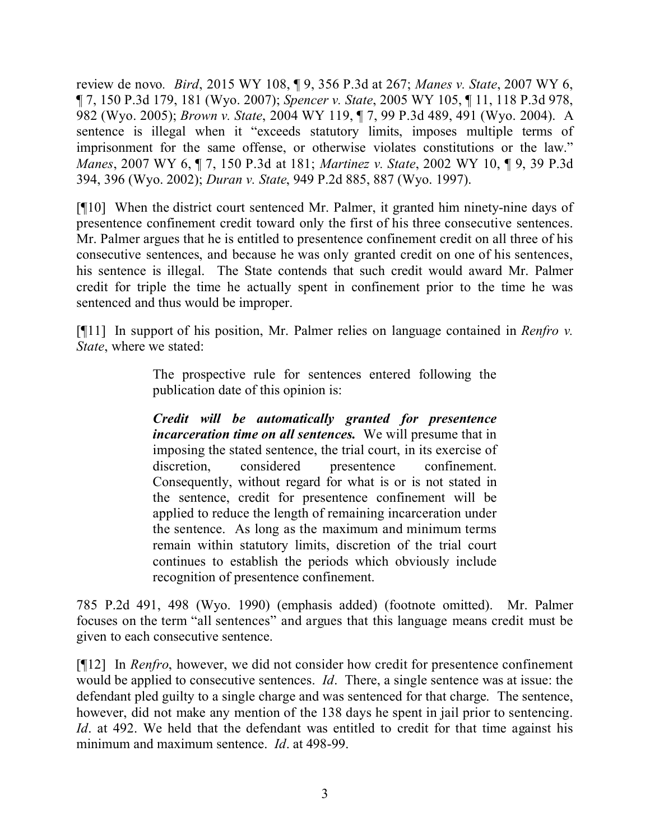review de novo*. Bird*, 2015 WY 108, ¶ 9, 356 P.3d at 267; *Manes v. State*, 2007 WY 6, ¶ 7, 150 P.3d 179, 181 (Wyo. 2007); *Spencer v. State*, 2005 WY 105, ¶ 11, 118 P.3d 978, 982 (Wyo. 2005); *Brown v. State*, 2004 WY 119, ¶ 7, 99 P.3d 489, 491 (Wyo. 2004). A sentence is illegal when it "exceeds statutory limits, imposes multiple terms of imprisonment for the same offense, or otherwise violates constitutions or the law." *Manes*, 2007 WY 6, ¶ 7, 150 P.3d at 181; *Martinez v. State*, 2002 WY 10, ¶ 9, 39 P.3d 394, 396 (Wyo. 2002); *Duran v. State*, 949 P.2d 885, 887 (Wyo. 1997).

[¶10] When the district court sentenced Mr. Palmer, it granted him ninety-nine days of presentence confinement credit toward only the first of his three consecutive sentences. Mr. Palmer argues that he is entitled to presentence confinement credit on all three of his consecutive sentences, and because he was only granted credit on one of his sentences, his sentence is illegal. The State contends that such credit would award Mr. Palmer credit for triple the time he actually spent in confinement prior to the time he was sentenced and thus would be improper.

[¶11] In support of his position, Mr. Palmer relies on language contained in *Renfro v. State*, where we stated:

> The prospective rule for sentences entered following the publication date of this opinion is:

> *Credit will be automatically granted for presentence incarceration time on all sentences.* We will presume that in imposing the stated sentence, the trial court, in its exercise of discretion, considered presentence confinement. Consequently, without regard for what is or is not stated in the sentence, credit for presentence confinement will be applied to reduce the length of remaining incarceration under the sentence. As long as the maximum and minimum terms remain within statutory limits, discretion of the trial court continues to establish the periods which obviously include recognition of presentence confinement.

785 P.2d 491, 498 (Wyo. 1990) (emphasis added) (footnote omitted). Mr. Palmer focuses on the term "all sentences" and argues that this language means credit must be given to each consecutive sentence.

[¶12] In *Renfro*, however, we did not consider how credit for presentence confinement would be applied to consecutive sentences. *Id*. There, a single sentence was at issue: the defendant pled guilty to a single charge and was sentenced for that charge. The sentence, however, did not make any mention of the 138 days he spent in jail prior to sentencing. *Id*. at 492. We held that the defendant was entitled to credit for that time against his minimum and maximum sentence. *Id*. at 498-99.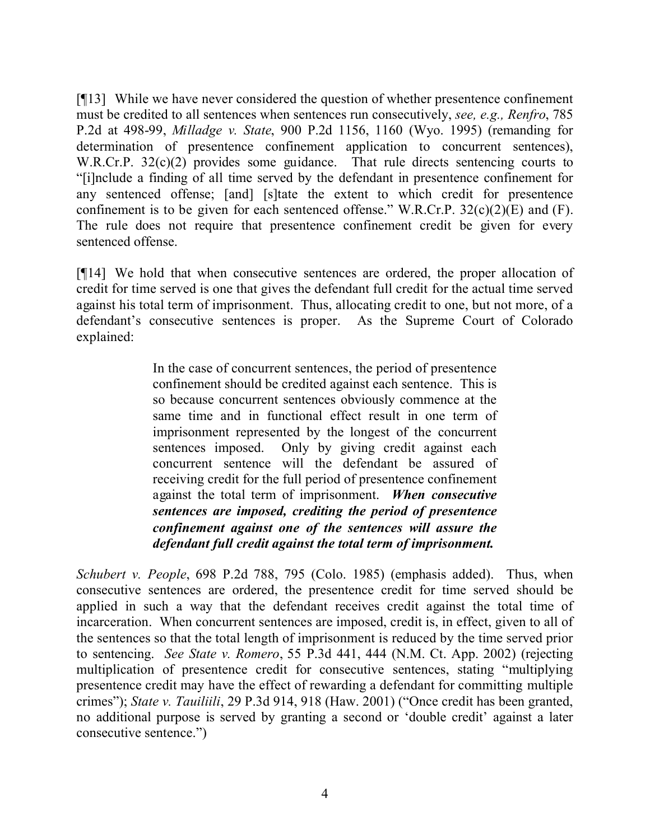[¶13] While we have never considered the question of whether presentence confinement must be credited to all sentences when sentences run consecutively, *see, e.g., Renfro*, 785 P.2d at 498-99, *Milladge v. State*, 900 P.2d 1156, 1160 (Wyo. 1995) (remanding for determination of presentence confinement application to concurrent sentences), W.R.Cr.P. 32(c)(2) provides some guidance. That rule directs sentencing courts to "[i]nclude a finding of all time served by the defendant in presentence confinement for any sentenced offense; [and] [s]tate the extent to which credit for presentence confinement is to be given for each sentenced offense." W.R.Cr.P.  $32(c)(2)(E)$  and  $(F)$ . The rule does not require that presentence confinement credit be given for every sentenced offense.

[¶14] We hold that when consecutive sentences are ordered, the proper allocation of credit for time served is one that gives the defendant full credit for the actual time served against his total term of imprisonment. Thus, allocating credit to one, but not more, of a defendant's consecutive sentences is proper. As the Supreme Court of Colorado explained:

> In the case of concurrent sentences, the period of presentence confinement should be credited against each sentence. This is so because concurrent sentences obviously commence at the same time and in functional effect result in one term of imprisonment represented by the longest of the concurrent sentences imposed. Only by giving credit against each concurrent sentence will the defendant be assured of receiving credit for the full period of presentence confinement against the total term of imprisonment. *When consecutive sentences are imposed, crediting the period of presentence confinement against one of the sentences will assure the defendant full credit against the total term of imprisonment.*

*Schubert v. People*, 698 P.2d 788, 795 (Colo. 1985) (emphasis added). Thus, when consecutive sentences are ordered, the presentence credit for time served should be applied in such a way that the defendant receives credit against the total time of incarceration. When concurrent sentences are imposed, credit is, in effect, given to all of the sentences so that the total length of imprisonment is reduced by the time served prior to sentencing. *See State v. Romero*, 55 P.3d 441, 444 (N.M. Ct. App. 2002) (rejecting multiplication of presentence credit for consecutive sentences, stating "multiplying presentence credit may have the effect of rewarding a defendant for committing multiple crimes"); *State v. Tauiliili*, 29 P.3d 914, 918 (Haw. 2001) ("Once credit has been granted, no additional purpose is served by granting a second or 'double credit' against a later consecutive sentence.")